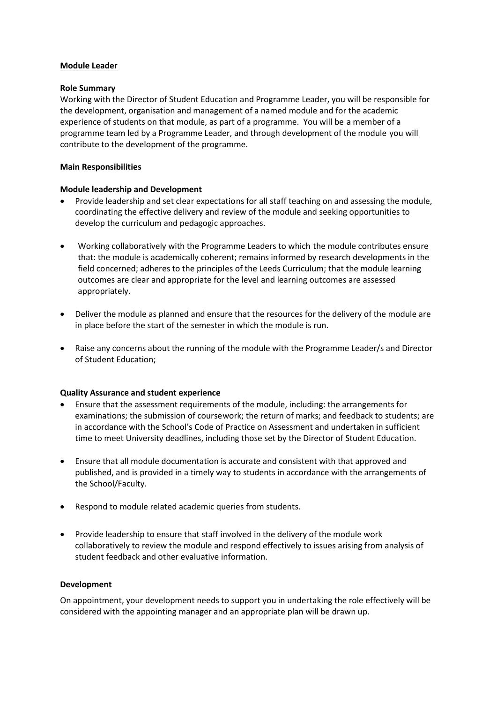## **Module Leader**

## **Role Summary**

Working with the Director of Student Education and Programme Leader, you will be responsible for the development, organisation and management of a named module and for the academic experience of students on that module, as part of a programme. You will be a member of a programme team led by a Programme Leader, and through development of the module you will contribute to the development of the programme.

## **Main Responsibilities**

## **Module leadership and Development**

- Provide leadership and set clear expectations for all staff teaching on and assessing the module, coordinating the effective delivery and review of the module and seeking opportunities to develop the curriculum and pedagogic approaches.
- Working collaboratively with the Programme Leaders to which the module contributes ensure that: the module is academically coherent; remains informed by research developments in the field concerned; adheres to the principles of the Leeds Curriculum; that the module learning outcomes are clear and appropriate for the level and learning outcomes are assessed appropriately.
- Deliver the module as planned and ensure that the resources for the delivery of the module are in place before the start of the semester in which the module is run.
- Raise any concerns about the running of the module with the Programme Leader/s and Director of Student Education;

### **Quality Assurance and student experience**

- Ensure that the assessment requirements of the module, including: the arrangements for examinations; the submission of coursework; the return of marks; and feedback to students; are in accordance with the School's Code of Practice on Assessment and undertaken in sufficient time to meet University deadlines, including those set by the Director of Student Education.
- Ensure that all module documentation is accurate and consistent with that approved and published, and is provided in a timely way to students in accordance with the arrangements of the School/Faculty.
- Respond to module related academic queries from students.
- Provide leadership to ensure that staff involved in the delivery of the module work collaboratively to review the module and respond effectively to issues arising from analysis of student feedback and other evaluative information.

### **Development**

On appointment, your development needs to support you in undertaking the role effectively will be considered with the appointing manager and an appropriate plan will be drawn up.